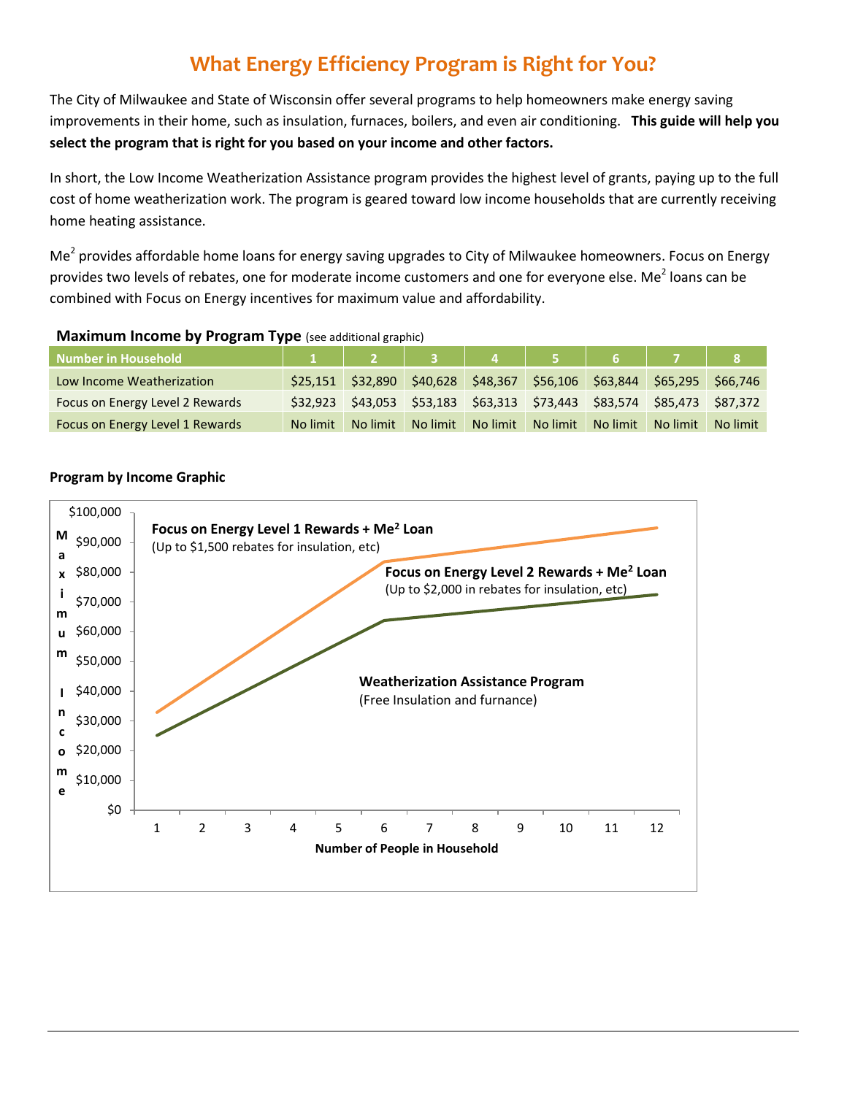# **What Energy Efficiency Program is Right for You?**

The City of Milwaukee and State of Wisconsin offer several programs to help homeowners make energy saving improvements in their home, such as insulation, furnaces, boilers, and even air conditioning. **This guide will help you select the program that is right for you based on your income and other factors.** 

In short, the Low Income Weatherization Assistance program provides the highest level of grants, paying up to the full cost of home weatherization work. The program is geared toward low income households that are currently receiving home heating assistance.

Me<sup>2</sup> provides affordable home loans for energy saving upgrades to City of Milwaukee homeowners. Focus on Energy provides two levels of rebates, one for moderate income customers and one for everyone else. Me<sup>2</sup> loans can be combined with Focus on Energy incentives for maximum value and affordability.

| <b>Number in Household</b>      |          |                                                                |          |          |          |                                              |                   |          |
|---------------------------------|----------|----------------------------------------------------------------|----------|----------|----------|----------------------------------------------|-------------------|----------|
| Low Income Weatherization       |          | \$25,151 \$32,890 \$40,628 \$48,367 \$56,106 \$63,844 \$65,295 |          |          |          |                                              |                   | \$66,746 |
| Focus on Energy Level 2 Rewards | \$32.923 |                                                                |          |          |          | \$43,053 \$53,183 \$63,313 \$73,443 \$83,574 | \$85,473 \$87,372 |          |
| Focus on Energy Level 1 Rewards | No limit | No limit                                                       | No limit | No limit | No limit | No limit                                     | No limit          | No limit |

#### **Maximum Income by Program Type** (see additional graphic)

# **Program by Income Graphic**